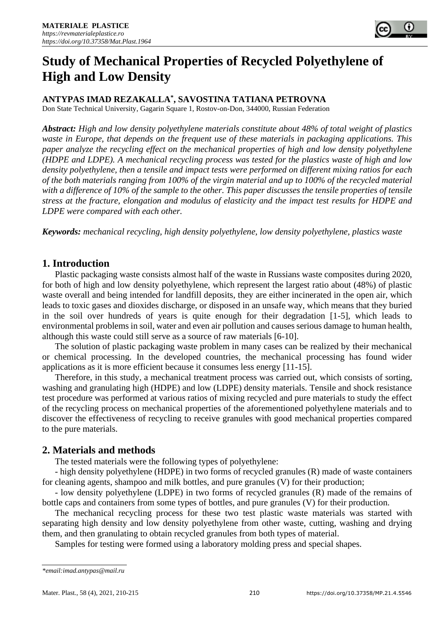

# **Study of Mechanical Properties of Recycled Polyethylene of High and Low Density**

### **ANTYPAS IMAD REZAKALLA\* , SAVOSTINA TATIANA PETROVNA**

Don State Technical University, Gagarin Square 1, Rostov-on-Don, 344000, Russian Federation

*Abstract: High and low density polyethylene materials constitute about 48% of total weight of plastics waste in Europe, that depends on the frequent use of these materials in packaging applications. This paper analyze the recycling effect on the mechanical properties of high and low density polyethylene (HDPE and LDPE). A mechanical recycling process was tested for the plastics waste of high and low density polyethylene, then a tensile and impact tests were performed on different mixing ratios for each of the both materials ranging from 100% of the virgin material and up to 100% of the recycled material with a difference of 10% of the sample to the other. This paper discusses the tensile properties of tensile stress at the fracture, elongation and modulus of elasticity and the impact test results for HDPE and LDPE were compared with each other.*

*Keywords: mechanical recycling, high density polyethylene, low density polyethylene, plastics waste*

#### **1. Introduction**

Plastic packaging waste consists almost half of the waste in Russians waste composites during 2020, for both of high and low density polyethylene, which represent the largest ratio about (48%) of plastic waste overall and being intended for landfill deposits, they are either incinerated in the open air, which leads to toxic gases and dioxides discharge, or disposed in an unsafe way, which means that they buried in the soil over hundreds of years is quite enough for their degradation [1-5], which leads to environmental problems in soil, water and even air pollution and causes serious damage to human health, although this waste could still serve as a source of raw materials [6-10].

The solution of plastic packaging waste problem in many cases can be realized by their mechanical or chemical processing. In the developed countries, the mechanical processing has found wider applications as it is more efficient because it consumes less energy [11-15].

Therefore, in this study, a mechanical treatment process was carried out, which consists of sorting, washing and granulating high (HDPE) and low (LDPE) density materials. Tensile and shock resistance test procedure was performed at various ratios of mixing recycled and pure materials to study the effect of the recycling process on mechanical properties of the aforementioned polyethylene materials and to discover the effectiveness of recycling to receive granules with good mechanical properties compared to the pure materials.

## **2. Materials and methods**

The tested materials were the following types of polyethylene:

- high density polyethylene (HDPE) in two forms of recycled granules (R) made of waste containers for cleaning agents, shampoo and milk bottles, and pure granules (V) for their production;

- low density polyethylene (LDPE) in two forms of recycled granules (R) made of the remains of bottle caps and containers from some types of bottles, and pure granules (V) for their production.

The mechanical recycling process for these two test plastic waste materials was started with separating high density and low density polyethylene from other waste, cutting, washing and drying them, and then granulating to obtain recycled granules from both types of material.

Samples for testing were formed using a laboratory molding press and special shapes.

*<sup>\*</sup>email[:imad.antypas@mail.ru](mailto:imad.antypas@mail.ru)*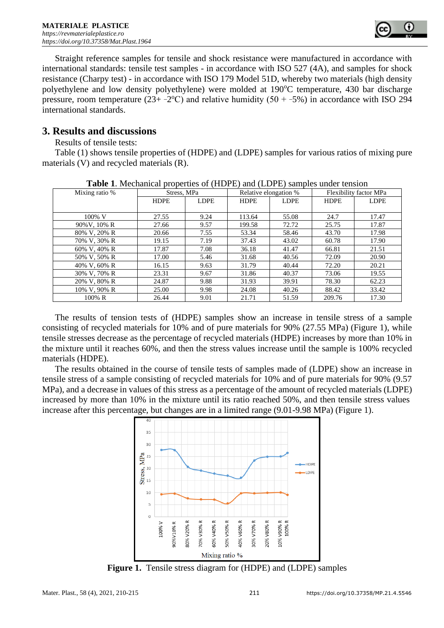

Straight reference samples for tensile and shock resistance were manufactured in accordance with international standards: tensile test samples - in accordance with ISO 527 (4A), and samples for shock resistance (Charpy test) - in accordance with ISO 179 Model 51D, whereby two materials (high density polyethylene and low density polyethylene) were molded at 190<sup>o</sup>C temperature, 430 bar discharge pressure, room temperature  $(23 + -2^{\circ}C)$  and relative humidity  $(50 + -5\%)$  in accordance with ISO 294 international standards.

### **3. Results and discussions**

Results of tensile tests:

Table (1) shows tensile properties of (HDPE) and (LDPE) samples for various ratios of mixing pure materials (V) and recycled materials (R).

| <b>Table 1.</b> Meenamear properties of (TIDT D) and (LDT D) samples ander tension |             |             |                       |             |                        |             |  |  |
|------------------------------------------------------------------------------------|-------------|-------------|-----------------------|-------------|------------------------|-------------|--|--|
| Mixing ratio %                                                                     | Stress, MPa |             | Relative elongation % |             | Flexibility factor MPa |             |  |  |
|                                                                                    | <b>HDPE</b> | <b>LDPE</b> | <b>HDPE</b>           | <b>LDPE</b> | <b>HDPE</b>            | <b>LDPE</b> |  |  |
|                                                                                    |             |             |                       |             |                        |             |  |  |
| 100% V                                                                             | 27.55       | 9.24        | 113.64                | 55.08       | 24.7                   | 17.47       |  |  |
| 90% V, 10% R                                                                       | 27.66       | 9.57        | 199.58                | 72.72       | 25.75                  | 17.87       |  |  |
| 80% V, 20% R                                                                       | 20.66       | 7.55        | 53.34                 | 58.46       | 43.70                  | 17.98       |  |  |
| 70% V, 30% R                                                                       | 19.15       | 7.19        | 37.43                 | 43.02       | 60.78                  | 17.90       |  |  |
| 60% V, 40% R                                                                       | 17.87       | 7.08        | 36.18                 | 41.47       | 66.81                  | 21.51       |  |  |
| 50% V, 50% R                                                                       | 17.00       | 5.46        | 31.68                 | 40.56       | 72.09                  | 20.90       |  |  |
| 40% V, 60% R                                                                       | 16.15       | 9.63        | 31.79                 | 40.44       | 72.20                  | 20.21       |  |  |
| 30% V, 70% R                                                                       | 23.31       | 9.67        | 31.86                 | 40.37       | 73.06                  | 19.55       |  |  |
| 20% V, 80% R                                                                       | 24.87       | 9.88        | 31.93                 | 39.91       | 78.30                  | 62.23       |  |  |
| 10% V, 90% R                                                                       | 25.00       | 9.98        | 24.08                 | 40.26       | 88.42                  | 33.42       |  |  |
| 100% R                                                                             | 26.44       | 9.01        | 21.71                 | 51.59       | 209.76                 | 17.30       |  |  |

**Table 1**. Mechanical properties of (HDPE) and (LDPE) samples under tension

The results of tension tests of (HDPE) samples show an increase in tensile stress of a sample consisting of recycled materials for 10% and of pure materials for 90% (27.55 MPa) (Figure 1), while tensile stresses decrease as the percentage of recycled materials (HDPE) increases by more than 10% in the mixture until it reaches 60%, and then the stress values increase until the sample is 100% recycled materials (HDPE).

The results obtained in the course of tensile tests of samples made of (LDPE) show an increase in tensile stress of a sample consisting of recycled materials for 10% and of pure materials for 90% (9.57 MPa), and a decrease in values of this stress as a percentage of the amount of recycled materials (LDPE) increased by more than 10% in the mixture until its ratio reached 50%, and then tensile stress values increase after this percentage, but changes are in a limited range (9.01-9.98 MPa) (Figure 1).



**Figure 1.** Tensile stress diagram for (HDPE) and (LDPE) samples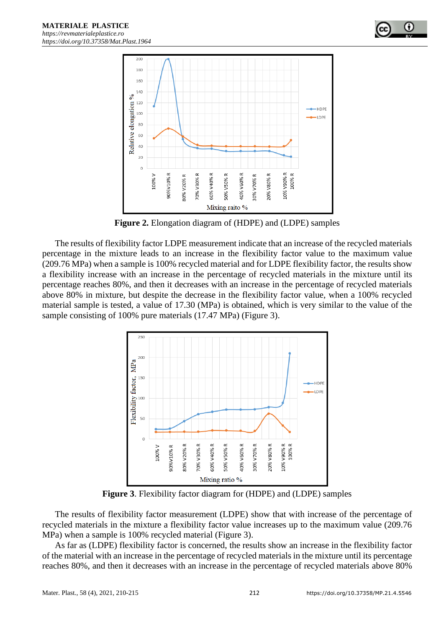

**Figure 2.** Elongation diagram of (HDPE) and (LDPE) samples

The results of flexibility factor LDPE measurement indicate that an increase of the recycled materials percentage in the mixture leads to an increase in the flexibility factor value to the maximum value (209.76 MPa) when a sample is 100% recycled material and for LDPE flexibility factor, the results show a flexibility increase with an increase in the percentage of recycled materials in the mixture until its percentage reaches 80%, and then it decreases with an increase in the percentage of recycled materials above 80% in mixture, but despite the decrease in the flexibility factor value, when a 100% recycled material sample is tested, a value of 17.30 (MPa) is obtained, which is very similar to the value of the sample consisting of 100% pure materials (17.47 MPa) (Figure 3).

![](_page_2_Figure_4.jpeg)

**Figure 3**. Flexibility factor diagram for (HDPE) and (LDPE) samples

The results of flexibility factor measurement (LDPE) show that with increase of the percentage of recycled materials in the mixture a flexibility factor value increases up to the maximum value (209.76 MPa) when a sample is 100% recycled material (Figure 3).

As far as (LDPE) flexibility factor is concerned, the results show an increase in the flexibility factor of the material with an increase in the percentage of recycled materials in the mixture until its percentage reaches 80%, and then it decreases with an increase in the percentage of recycled materials above 80%

0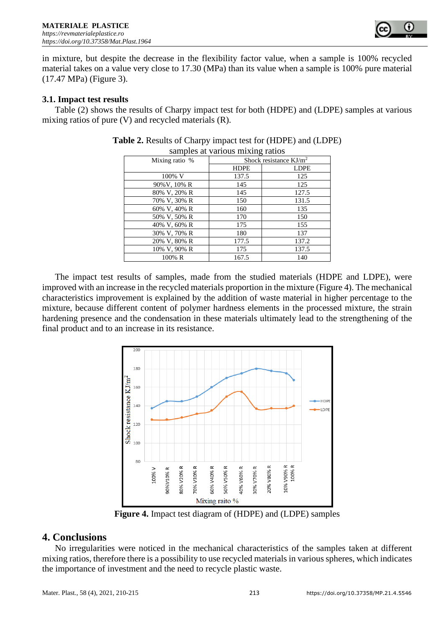![](_page_3_Picture_1.jpeg)

in mixture, but despite the decrease in the flexibility factor value, when a sample is 100% recycled material takes on a value very close to 17.30 (MPa) than its value when a sample is 100% pure material (17.47 MPa) (Figure 3).

#### **3.1. Impact test results**

Table (2) shows the results of Charpy impact test for both (HDPE) and (LDPE) samples at various mixing ratios of pure (V) and recycled materials (R).

| $\frac{1}{2}$ and $\frac{1}{2}$ and $\frac{1}{2}$ and $\frac{1}{2}$ and $\frac{1}{2}$ |                           |             |  |  |  |  |
|---------------------------------------------------------------------------------------|---------------------------|-------------|--|--|--|--|
| Mixing ratio %                                                                        | Shock resistance $KJ/m^2$ |             |  |  |  |  |
|                                                                                       | <b>HDPE</b>               | <b>LDPE</b> |  |  |  |  |
| 100% V                                                                                | 137.5                     | 125         |  |  |  |  |
| 90% V, 10% R                                                                          | 145                       | 125         |  |  |  |  |
| 80% V, 20% R                                                                          | 145                       | 127.5       |  |  |  |  |
| 70% V, 30% R                                                                          | 150                       | 131.5       |  |  |  |  |
| 60% V, 40% R                                                                          | 160                       | 135         |  |  |  |  |
| 50% V, 50% R                                                                          | 170                       | 150         |  |  |  |  |
| 40% V, 60% R                                                                          | 175                       | 155         |  |  |  |  |
| 30% V, 70% R                                                                          | 180                       | 137         |  |  |  |  |
| 20% V, 80% R                                                                          | 177.5                     | 137.2       |  |  |  |  |
| 10% V, 90% R                                                                          | 175                       | 137.5       |  |  |  |  |
| 100% R                                                                                | 167.5                     | 140         |  |  |  |  |

| <b>Table 2.</b> Results of Charpy impact test for (HDPE) and (LDPE) |  |
|---------------------------------------------------------------------|--|
| samples at various mixing ratios                                    |  |

The impact test results of samples, made from the studied materials (HDPE and LDPE), were improved with an increase in the recycled materials proportion in the mixture (Figure 4). The mechanical characteristics improvement is explained by the addition of waste material in higher percentage to the mixture, because different content of polymer hardness elements in the processed mixture, the strain hardening presence and the condensation in these materials ultimately lead to the strengthening of the final product and to an increase in its resistance.

![](_page_3_Figure_8.jpeg)

**Figure 4.** Impact test diagram of (HDPE) and (LDPE) samples

#### **4. Conclusions**

No irregularities were noticed in the mechanical characteristics of the samples taken at different mixing ratios, therefore there is a possibility to use recycled materials in various spheres, which indicates the importance of investment and the need to recycle plastic waste.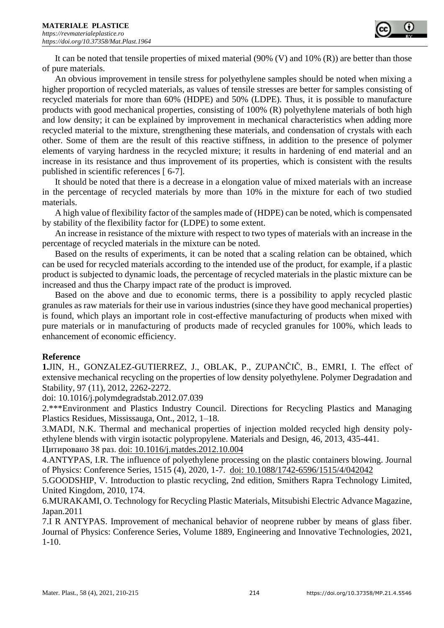It can be noted that tensile properties of mixed material (90% (V) and 10% (R)) are better than those of pure materials.

An obvious improvement in tensile stress for polyethylene samples should be noted when mixing a higher proportion of recycled materials, as values of tensile stresses are better for samples consisting of recycled materials for more than 60% (HDPE) and 50% (LDPE). Thus, it is possible to manufacture products with good mechanical properties, consisting of 100% (R) polyethylene materials of both high and low density; it can be explained by improvement in mechanical characteristics when adding more recycled material to the mixture, strengthening these materials, and condensation of crystals with each other. Some of them are the result of this reactive stiffness, in addition to the presence of polymer elements of varying hardness in the recycled mixture; it results in hardening of end material and an increase in its resistance and thus improvement of its properties, which is consistent with the results published in scientific references [ 6-7].

It should be noted that there is a decrease in a elongation value of mixed materials with an increase in the percentage of recycled materials by more than 10% in the mixture for each of two studied materials.

A high value of flexibility factor of the samples made of (HDPE) can be noted, which is compensated by stability of the flexibility factor for (LDPE) to some extent.

An increase in resistance of the mixture with respect to two types of materials with an increase in the percentage of recycled materials in the mixture can be noted.

Based on the results of experiments, it can be noted that a scaling relation can be obtained, which can be used for recycled materials according to the intended use of the product, for example, if a plastic product is subjected to dynamic loads, the percentage of recycled materials in the plastic mixture can be increased and thus the Charpy impact rate of the product is improved.

Based on the above and due to economic terms, there is a possibility to apply recycled plastic granules as raw materials for their use in various industries (since they have good mechanical properties) is found, which plays an important role in cost-effective manufacturing of products when mixed with pure materials or in manufacturing of products made of recycled granules for 100%, which leads to enhancement of economic efficiency.

#### **Reference**

**1.**JIN, H., GONZALEZ-GUTIERREZ, J., OBLAK, P., ZUPANČIČ, B., EMRI, I. The effect of extensive mechanical recycling on the properties of low density polyethylene. Polymer Degradation and Stability, 97 (11), 2012, 2262-2272.

doi: 10.1016/j.polymdegradstab.2012.07.039

2.\*\*\*Environment and Plastics Industry Council. Directions for Recycling Plastics and Managing Plastics Residues, Mississauga, Ont., 2012, 1–18.

3.MADI, N.K. Thermal and mechanical properties of injection molded recycled high density polyethylene blends with virgin isotactic polypropylene. Materials and Design, 46, 2013, 435-441. Цитировано 38 раз. doi: 10.1016/j.matdes.2012.10.004

4.ANTYPAS, I.R. The influence of polyethylene processing on the plastic containers blowing. Journal of Physics: Conference Series, 1515 (4), 2020, 1-7. doi: 10.1088/1742-6596/1515/4/042042

5.GOODSHIP, V. Introduction to plastic recycling, 2nd edition, Smithers Rapra Technology Limited, United Kingdom, 2010, 174.

6.MURAKAMI, O. Technology for Recycling Plastic Materials, Mitsubishi Electric Advance Magazine, Japan.2011

7.I R ANTYPAS. Improvement of mechanical behavior of neoprene rubber by means of glass fiber. Journal of Physics: Conference Series, Volume 1889, Engineering and Innovative Technologies, 2021, 1-10.